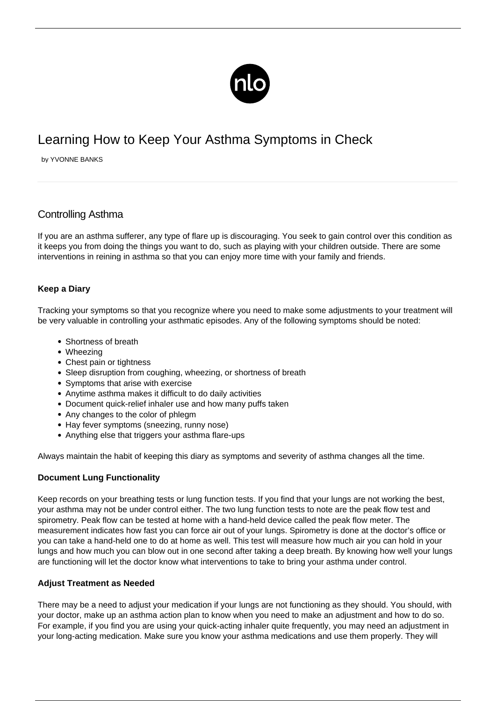

# Learning How to Keep Your Asthma Symptoms in Check

by YVONNE BANKS

## Controlling Asthma

If you are an asthma sufferer, any type of flare up is discouraging. You seek to gain control over this condition as it keeps you from doing the things you want to do, such as playing with your children outside. There are some interventions in reining in asthma so that you can enjoy more time with your family and friends.

### **Keep a Diary**

Tracking your symptoms so that you recognize where you need to make some adjustments to your treatment will be very valuable in controlling your asthmatic episodes. Any of the following symptoms should be noted:

- Shortness of breath
- Wheezing
- Chest pain or tightness
- Sleep disruption from coughing, wheezing, or shortness of breath
- Symptoms that arise with exercise
- Anytime asthma makes it difficult to do daily activities
- Document quick-relief inhaler use and how many puffs taken
- Any changes to the color of phlegm
- Hay fever symptoms (sneezing, runny nose)
- Anything else that triggers your [asthma flare-ups](/avoiding-asthma-attacks/)

Always maintain the habit of keeping this diary as symptoms and severity of asthma changes all the time.

### **Document Lung Functionality**

Keep records on your breathing tests or lung function tests. If you find that your lungs are not working the best, your asthma may not be under control either. The two lung function tests to note are the peak flow test and spirometry. Peak flow can be tested at home with a hand-held device called the peak flow meter. The measurement indicates how fast you can force air out of your lungs. Spirometry is done at the doctor's office or you can take a hand-held one to do at home as well. This test will measure how much air you can hold in your lungs and how much you can blow out in one second after taking a deep breath. By knowing how well your lungs are functioning will let the doctor know what interventions to take to bring your asthma under control.

### **Adjust Treatment as Needed**

There may be a need to adjust your medication if your lungs are not functioning as they should. You should, with your doctor, make up an asthma action plan to know when you need to make an adjustment and how to do so. For example, if you find you are using your quick-acting inhaler quite frequently, you may need an adjustment in your long-acting medication. Make sure you know your asthma medications and use them properly. They will